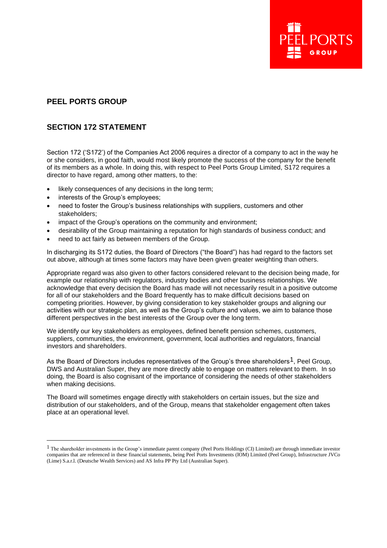# **PEEL PORTS GROUP**

# **SECTION 172 STATEMENT**

Section 172 ('S172') of the Companies Act 2006 requires a director of a company to act in the way he or she considers, in good faith, would most likely promote the success of the company for the benefit of its members as a whole. In doing this, with respect to Peel Ports Group Limited, S172 requires a director to have regard, among other matters, to the:

- likely consequences of any decisions in the long term;
- interests of the Group's employees:
- need to foster the Group's business relationships with suppliers, customers and other stakeholders;
- impact of the Group's operations on the community and environment;
- desirability of the Group maintaining a reputation for high standards of business conduct; and
- need to act fairly as between members of the Group.

In discharging its S172 duties, the Board of Directors ("the Board") has had regard to the factors set out above, although at times some factors may have been given greater weighting than others.

Appropriate regard was also given to other factors considered relevant to the decision being made, for example our relationship with regulators, industry bodies and other business relationships. We acknowledge that every decision the Board has made will not necessarily result in a positive outcome for all of our stakeholders and the Board frequently has to make difficult decisions based on competing priorities. However, by giving consideration to key stakeholder groups and aligning our activities with our strategic plan, as well as the Group's culture and values, we aim to balance those different perspectives in the best interests of the Group over the long term.

We identify our key stakeholders as employees, defined benefit pension schemes, customers, suppliers, communities, the environment, government, local authorities and regulators, financial investors and shareholders.

As the Board of Directors includes representatives of the Group's three shareholders<sup>1</sup>. Peel Group, DWS and Australian Super, they are more directly able to engage on matters relevant to them. In so doing, the Board is also cognisant of the importance of considering the needs of other stakeholders when making decisions.

The Board will sometimes engage directly with stakeholders on certain issues, but the size and distribution of our stakeholders, and of the Group, means that stakeholder engagement often takes place at an operational level.

<sup>&</sup>lt;sup>1</sup> The shareholder investments in the Group's immediate parent company (Peel Ports Holdings (CI) Limited) are through immediate investor companies that are referenced in these financial statements, being Peel Ports Investments (IOM) Limited (Peel Group), Infrastructure JVCo (Lime) S.a.r.l. (Deutsche Wealth Services) and AS Infra PP Pty Ltd (Australian Super).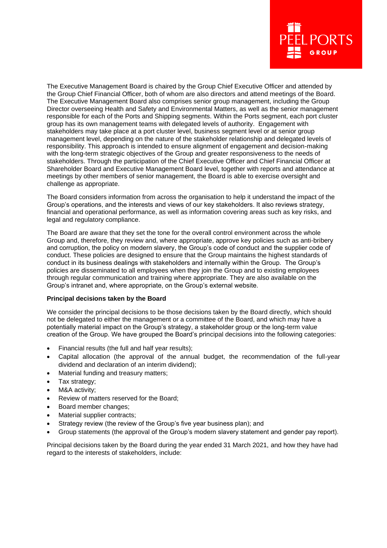

The Executive Management Board is chaired by the Group Chief Executive Officer and attended by the Group Chief Financial Officer, both of whom are also directors and attend meetings of the Board. The Executive Management Board also comprises senior group management, including the Group Director overseeing Health and Safety and Environmental Matters, as well as the senior management responsible for each of the Ports and Shipping segments. Within the Ports segment, each port cluster group has its own management teams with delegated levels of authority. Engagement with stakeholders may take place at a port cluster level, business segment level or at senior group management level, depending on the nature of the stakeholder relationship and delegated levels of responsibility. This approach is intended to ensure alignment of engagement and decision-making with the long-term strategic objectives of the Group and greater responsiveness to the needs of stakeholders. Through the participation of the Chief Executive Officer and Chief Financial Officer at Shareholder Board and Executive Management Board level, together with reports and attendance at meetings by other members of senior management, the Board is able to exercise oversight and challenge as appropriate.

The Board considers information from across the organisation to help it understand the impact of the Group's operations, and the interests and views of our key stakeholders. It also reviews strategy, financial and operational performance, as well as information covering areas such as key risks, and legal and regulatory compliance.

The Board are aware that they set the tone for the overall control environment across the whole Group and, therefore, they review and, where appropriate, approve key policies such as anti-bribery and corruption, the policy on modern slavery, the Group's code of conduct and the supplier code of conduct. These policies are designed to ensure that the Group maintains the highest standards of conduct in its business dealings with stakeholders and internally within the Group. The Group's policies are disseminated to all employees when they join the Group and to existing employees through regular communication and training where appropriate. They are also available on the Group's intranet and, where appropriate, on the Group's external website.

## **Principal decisions taken by the Board**

We consider the principal decisions to be those decisions taken by the Board directly, which should not be delegated to either the management or a committee of the Board, and which may have a potentially material impact on the Group's strategy, a stakeholder group or the long-term value creation of the Group. We have grouped the Board's principal decisions into the following categories:

- Financial results (the full and half year results);
- Capital allocation (the approval of the annual budget, the recommendation of the full-year dividend and declaration of an interim dividend);
- Material funding and treasury matters;
- Tax strategy;
- M&A activity:
- Review of matters reserved for the Board;
- Board member changes;
- Material supplier contracts;
- Strategy review (the review of the Group's five year business plan); and
- Group statements (the approval of the Group's modern slavery statement and gender pay report).

Principal decisions taken by the Board during the year ended 31 March 2021, and how they have had regard to the interests of stakeholders, include: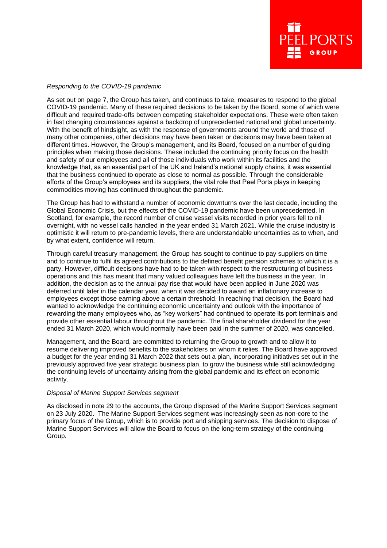### *Responding to the COVID-19 pandemic*

As set out on page 7, the Group has taken, and continues to take, measures to respond to the global COVID-19 pandemic. Many of these required decisions to be taken by the Board, some of which were difficult and required trade-offs between competing stakeholder expectations. These were often taken in fast changing circumstances against a backdrop of unprecedented national and global uncertainty. With the benefit of hindsight, as with the response of governments around the world and those of many other companies, other decisions may have been taken or decisions may have been taken at different times. However, the Group's management, and its Board, focused on a number of guiding principles when making those decisions. These included the continuing priority focus on the health and safety of our employees and all of those individuals who work within its facilities and the knowledge that, as an essential part of the UK and Ireland's national supply chains, it was essential that the business continued to operate as close to normal as possible. Through the considerable efforts of the Group's employees and its suppliers, the vital role that Peel Ports plays in keeping commodities moving has continued throughout the pandemic.

The Group has had to withstand a number of economic downturns over the last decade, including the Global Economic Crisis, but the effects of the COVID-19 pandemic have been unprecedented. In Scotland, for example, the record number of cruise vessel visits recorded in prior years fell to nil overnight, with no vessel calls handled in the year ended 31 March 2021. While the cruise industry is optimistic it will return to pre-pandemic levels, there are understandable uncertainties as to when, and by what extent, confidence will return.

Through careful treasury management, the Group has sought to continue to pay suppliers on time and to continue to fulfil its agreed contributions to the defined benefit pension schemes to which it is a party. However, difficult decisions have had to be taken with respect to the restructuring of business operations and this has meant that many valued colleagues have left the business in the year. In addition, the decision as to the annual pay rise that would have been applied in June 2020 was deferred until later in the calendar year, when it was decided to award an inflationary increase to employees except those earning above a certain threshold. In reaching that decision, the Board had wanted to acknowledge the continuing economic uncertainty and outlook with the importance of rewarding the many employees who, as "key workers" had continued to operate its port terminals and provide other essential labour throughout the pandemic. The final shareholder dividend for the year ended 31 March 2020, which would normally have been paid in the summer of 2020, was cancelled.

Management, and the Board, are committed to returning the Group to growth and to allow it to resume delivering improved benefits to the stakeholders on whom it relies. The Board have approved a budget for the year ending 31 March 2022 that sets out a plan, incorporating initiatives set out in the previously approved five year strategic business plan, to grow the business while still acknowledging the continuing levels of uncertainty arising from the global pandemic and its effect on economic activity.

#### *Disposal of Marine Support Services segment*

As disclosed in note 29 to the accounts, the Group disposed of the Marine Support Services segment on 23 July 2020. The Marine Support Services segment was increasingly seen as non-core to the primary focus of the Group, which is to provide port and shipping services. The decision to dispose of Marine Support Services will allow the Board to focus on the long-term strategy of the continuing Group.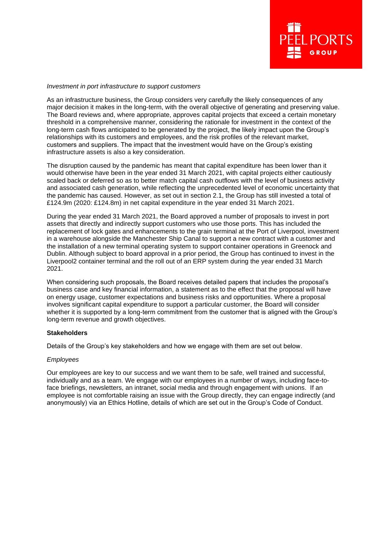

## *Investment in port infrastructure to support customers*

As an infrastructure business, the Group considers very carefully the likely consequences of any major decision it makes in the long-term, with the overall objective of generating and preserving value. The Board reviews and, where appropriate, approves capital projects that exceed a certain monetary threshold in a comprehensive manner, considering the rationale for investment in the context of the long-term cash flows anticipated to be generated by the project, the likely impact upon the Group's relationships with its customers and employees, and the risk profiles of the relevant market, customers and suppliers. The impact that the investment would have on the Group's existing infrastructure assets is also a key consideration.

The disruption caused by the pandemic has meant that capital expenditure has been lower than it would otherwise have been in the year ended 31 March 2021, with capital projects either cautiously scaled back or deferred so as to better match capital cash outflows with the level of business activity and associated cash generation, while reflecting the unprecedented level of economic uncertainty that the pandemic has caused. However, as set out in section 2.1, the Group has still invested a total of £124.9m (2020: £124.8m) in net capital expenditure in the year ended 31 March 2021.

During the year ended 31 March 2021, the Board approved a number of proposals to invest in port assets that directly and indirectly support customers who use those ports. This has included the replacement of lock gates and enhancements to the grain terminal at the Port of Liverpool, investment in a warehouse alongside the Manchester Ship Canal to support a new contract with a customer and the installation of a new terminal operating system to support container operations in Greenock and Dublin. Although subject to board approval in a prior period, the Group has continued to invest in the Liverpool2 container terminal and the roll out of an ERP system during the year ended 31 March 2021.

When considering such proposals, the Board receives detailed papers that includes the proposal's business case and key financial information, a statement as to the effect that the proposal will have on energy usage, customer expectations and business risks and opportunities. Where a proposal involves significant capital expenditure to support a particular customer, the Board will consider whether it is supported by a long-term commitment from the customer that is aligned with the Group's long-term revenue and growth objectives.

## **Stakeholders**

Details of the Group's key stakeholders and how we engage with them are set out below.

#### *Employees*

Our employees are key to our success and we want them to be safe, well trained and successful, individually and as a team. We engage with our employees in a number of ways, including face-toface briefings, newsletters, an intranet, social media and through engagement with unions. If an employee is not comfortable raising an issue with the Group directly, they can engage indirectly (and anonymously) via an Ethics Hotline, details of which are set out in the Group's Code of Conduct.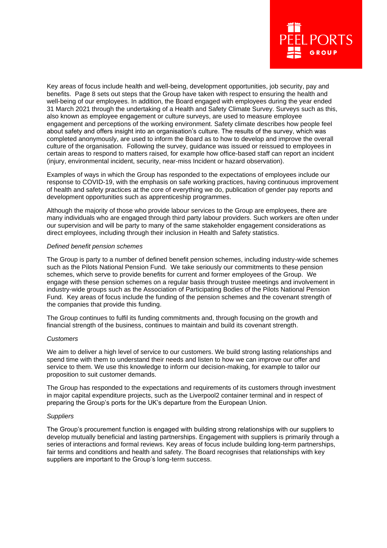

Key areas of focus include health and well-being, development opportunities, job security, pay and benefits. Page 8 sets out steps that the Group have taken with respect to ensuring the health and well-being of our employees. In addition, the Board engaged with employees during the year ended 31 March 2021 through the undertaking of a Health and Safety Climate Survey. Surveys such as this, also known as employee engagement or culture surveys, are used to measure employee engagement and perceptions of the working environment. Safety climate describes how people feel about safety and offers insight into an organisation's culture. The results of the survey, which was completed anonymously, are used to inform the Board as to how to develop and improve the overall culture of the organisation. Following the survey, guidance was issued or reissued to employees in certain areas to respond to matters raised, for example how office-based staff can report an incident (injury, environmental incident, security, near-miss Incident or hazard observation).

Examples of ways in which the Group has responded to the expectations of employees include our response to COVID-19, with the emphasis on safe working practices, having continuous improvement of health and safety practices at the core of everything we do, publication of gender pay reports and development opportunities such as apprenticeship programmes.

Although the majority of those who provide labour services to the Group are employees, there are many individuals who are engaged through third party labour providers. Such workers are often under our supervision and will be party to many of the same stakeholder engagement considerations as direct employees, including through their inclusion in Health and Safety statistics.

## *Defined benefit pension schemes*

The Group is party to a number of defined benefit pension schemes, including industry-wide schemes such as the Pilots National Pension Fund. We take seriously our commitments to these pension schemes, which serve to provide benefits for current and former employees of the Group. We engage with these pension schemes on a regular basis through trustee meetings and involvement in industry-wide groups such as the Association of Participating Bodies of the Pilots National Pension Fund. Key areas of focus include the funding of the pension schemes and the covenant strength of the companies that provide this funding.

The Group continues to fulfil its funding commitments and, through focusing on the growth and financial strength of the business, continues to maintain and build its covenant strength.

## *Customers*

We aim to deliver a high level of service to our customers. We build strong lasting relationships and spend time with them to understand their needs and listen to how we can improve our offer and service to them. We use this knowledge to inform our decision-making, for example to tailor our proposition to suit customer demands.

The Group has responded to the expectations and requirements of its customers through investment in major capital expenditure projects, such as the Liverpool2 container terminal and in respect of preparing the Group's ports for the UK's departure from the European Union.

#### *Suppliers*

The Group's procurement function is engaged with building strong relationships with our suppliers to develop mutually beneficial and lasting partnerships. Engagement with suppliers is primarily through a series of interactions and formal reviews. Key areas of focus include building long-term partnerships, fair terms and conditions and health and safety. The Board recognises that relationships with key suppliers are important to the Group's long-term success.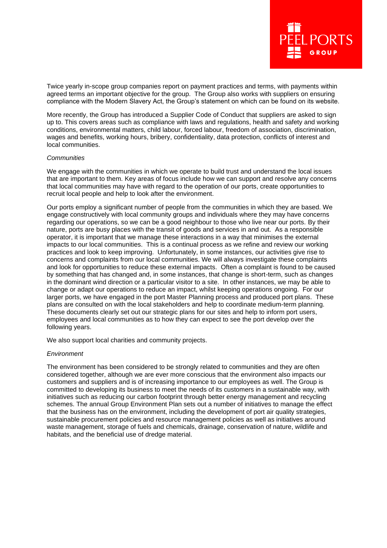

Twice yearly in-scope group companies report on payment practices and terms, with payments within agreed terms an important objective for the group. The Group also works with suppliers on ensuring compliance with the Modern Slavery Act, the Group's statement on which can be found on its website.

More recently, the Group has introduced a Supplier Code of Conduct that suppliers are asked to sign up to. This covers areas such as compliance with laws and regulations, health and safety and working conditions, environmental matters, child labour, forced labour, freedom of association, discrimination, wages and benefits, working hours, bribery, confidentiality, data protection, conflicts of interest and local communities.

#### *Communities*

We engage with the communities in which we operate to build trust and understand the local issues that are important to them. Key areas of focus include how we can support and resolve any concerns that local communities may have with regard to the operation of our ports, create opportunities to recruit local people and help to look after the environment.

Our ports employ a significant number of people from the communities in which they are based. We engage constructively with local community groups and individuals where they may have concerns regarding our operations, so we can be a good neighbour to those who live near our ports. By their nature, ports are busy places with the transit of goods and services in and out. As a responsible operator, it is important that we manage these interactions in a way that minimises the external impacts to our local communities. This is a continual process as we refine and review our working practices and look to keep improving. Unfortunately, in some instances, our activities give rise to concerns and complaints from our local communities. We will always investigate these complaints and look for opportunities to reduce these external impacts. Often a complaint is found to be caused by something that has changed and, in some instances, that change is short-term, such as changes in the dominant wind direction or a particular visitor to a site. In other instances, we may be able to change or adapt our operations to reduce an impact, whilst keeping operations ongoing. For our larger ports, we have engaged in the port Master Planning process and produced port plans. These plans are consulted on with the local stakeholders and help to coordinate medium-term planning. These documents clearly set out our strategic plans for our sites and help to inform port users, employees and local communities as to how they can expect to see the port develop over the following years.

We also support local charities and community projects.

#### *Environment*

The environment has been considered to be strongly related to communities and they are often considered together, although we are ever more conscious that the environment also impacts our customers and suppliers and is of increasing importance to our employees as well. The Group is committed to developing its business to meet the needs of its customers in a sustainable way, with initiatives such as reducing our carbon footprint through better energy management and recycling schemes. The annual Group Environment Plan sets out a number of initiatives to manage the effect that the business has on the environment, including the development of port air quality strategies, sustainable procurement policies and resource management policies as well as initiatives around waste management, storage of fuels and chemicals, drainage, conservation of nature, wildlife and habitats, and the beneficial use of dredge material.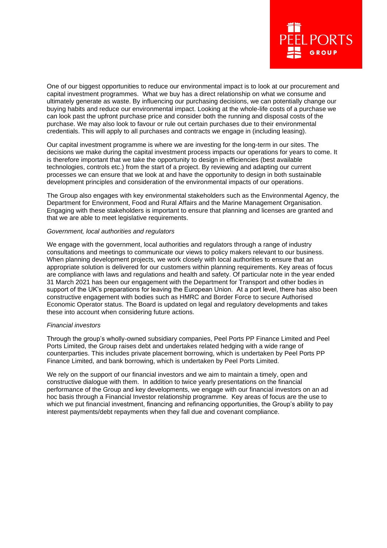

One of our biggest opportunities to reduce our environmental impact is to look at our procurement and capital investment programmes. What we buy has a direct relationship on what we consume and ultimately generate as waste. By influencing our purchasing decisions, we can potentially change our buying habits and reduce our environmental impact. Looking at the whole-life costs of a purchase we can look past the upfront purchase price and consider both the running and disposal costs of the purchase. We may also look to favour or rule out certain purchases due to their environmental credentials. This will apply to all purchases and contracts we engage in (including leasing).

Our capital investment programme is where we are investing for the long-term in our sites. The decisions we make during the capital investment process impacts our operations for years to come. It is therefore important that we take the opportunity to design in efficiencies (best available technologies, controls etc.) from the start of a project. By reviewing and adapting our current processes we can ensure that we look at and have the opportunity to design in both sustainable development principles and consideration of the environmental impacts of our operations.

The Group also engages with key environmental stakeholders such as the Environmental Agency, the Department for Environment, Food and Rural Affairs and the Marine Management Organisation. Engaging with these stakeholders is important to ensure that planning and licenses are granted and that we are able to meet legislative requirements.

## *Government, local authorities and regulators*

We engage with the government, local authorities and regulators through a range of industry consultations and meetings to communicate our views to policy makers relevant to our business. When planning development projects, we work closely with local authorities to ensure that an appropriate solution is delivered for our customers within planning requirements. Key areas of focus are compliance with laws and regulations and health and safety. Of particular note in the year ended 31 March 2021 has been our engagement with the Department for Transport and other bodies in support of the UK's preparations for leaving the European Union. At a port level, there has also been constructive engagement with bodies such as HMRC and Border Force to secure Authorised Economic Operator status. The Board is updated on legal and regulatory developments and takes these into account when considering future actions.

#### *Financial investors*

Through the group's wholly-owned subsidiary companies, Peel Ports PP Finance Limited and Peel Ports Limited, the Group raises debt and undertakes related hedging with a wide range of counterparties. This includes private placement borrowing, which is undertaken by Peel Ports PP Finance Limited, and bank borrowing, which is undertaken by Peel Ports Limited.

We rely on the support of our financial investors and we aim to maintain a timely, open and constructive dialogue with them. In addition to twice yearly presentations on the financial performance of the Group and key developments, we engage with our financial investors on an ad hoc basis through a Financial Investor relationship programme. Key areas of focus are the use to which we put financial investment, financing and refinancing opportunities, the Group's ability to pay interest payments/debt repayments when they fall due and covenant compliance.